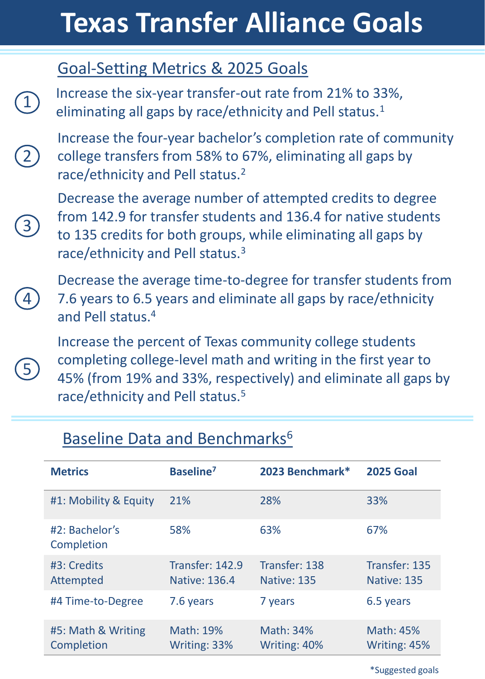# **Texas Transfer Alliance Goals**

### Goal-Setting Metrics & 2025 Goals

 $\boxed{1}$ 

2

3

4

5

Increase the six-year transfer-out rate from 21% to 33%, eliminating all gaps by race/ethnicity and Pell status.<sup>1</sup>

Increase the four-year bachelor's completion rate of community college transfers from 58% to 67%, eliminating all gaps by race/ethnicity and Pell status.<sup>2</sup>

Decrease the average number of attempted credits to degree from 142.9 for transfer students and 136.4 for native students to 135 credits for both groups, while eliminating all gaps by race/ethnicity and Pell status.<sup>3</sup>

Decrease the average time-to-degree for transfer students from 7.6 years to 6.5 years and eliminate all gaps by race/ethnicity and Pell status.<sup>4</sup>

Increase the percent of Texas community college students completing college-level math and writing in the first year to 45% (from 19% and 33%, respectively) and eliminate all gaps by race/ethnicity and Pell status.<sup>5</sup>

| <b>Metrics</b>                   | Baseline <sup>7</sup>                   | 2023 Benchmark*              | <b>2025 Goal</b>             |
|----------------------------------|-----------------------------------------|------------------------------|------------------------------|
| #1: Mobility & Equity            | 21%                                     | 28%                          | 33%                          |
| #2: Bachelor's<br>Completion     | 58%                                     | 63%                          | 67%                          |
| #3: Credits<br>Attempted         | <b>Transfer: 142.9</b><br>Native: 136.4 | Transfer: 138<br>Native: 135 | Transfer: 135<br>Native: 135 |
| #4 Time-to-Degree                | 7.6 years                               | 7 years                      | 6.5 years                    |
| #5: Math & Writing<br>Completion | Math: 19%<br>Writing: 33%               | Math: 34%<br>Writing: 40%    | Math: 45%<br>Writing: 45%    |

#### Baseline Data and Benchmarks<sup>6</sup>

\*Suggested goals